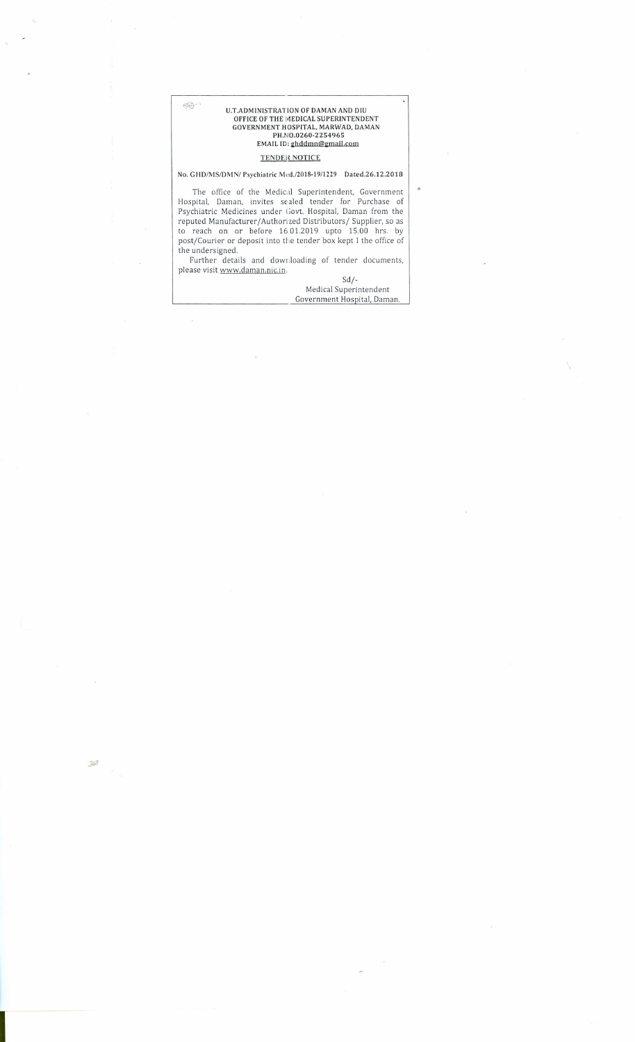U.T.ADMINISTRATION OF DAMAN AND DIU<br>OFFICE OF THE MEDICAL SUPERINTENDENT<br>GOVERNMENT HOSPITAL, MARWAD, DAMAN<br>PH.NO.0260-2254965<br>EMAIL ID: <u>ghddmn@gmail.com</u>

 $\circledcirc$ 

#### **TENDER NOTICE**

#### No. GHD/MS/DMN/ Psychiatric Med./2018-19/1229 Dated.26.12.2018

The office of the Medical Superintendent, Government<br>Hospital, Daman, invites sealed tender for Purchase of<br>Psychiatric Medicines under Govt. Hospital, Daman from the<br>reputed Manufacturer/Authorized Distributors/Supplier, the undersigned.

Further details and downloading of tender documents, please visit www.daman.nic.in.

 $Sd$  /-Medical Superintendent Government Hospital, Daman. ö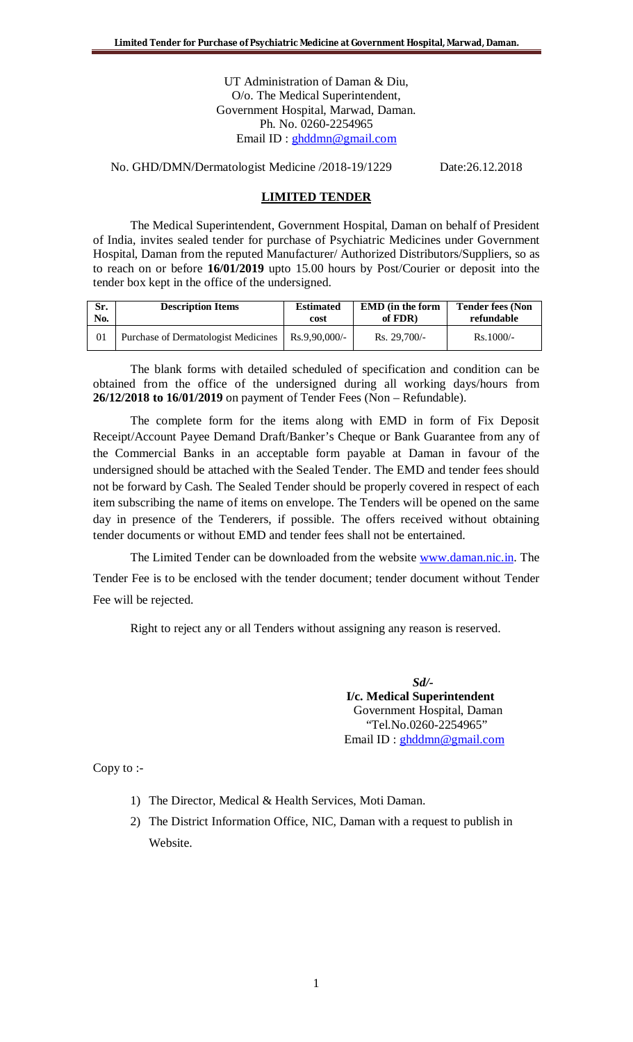UT Administration of Daman & Diu, O/o. The Medical Superintendent, Government Hospital, Marwad, Daman. Ph. No. 0260-2254965 Email ID : ghddmn@gmail.com

No. GHD/DMN/Dermatologist Medicine /2018-19/1229 Date:26.12.2018

#### **LIMITED TENDER**

The Medical Superintendent, Government Hospital, Daman on behalf of President of India, invites sealed tender for purchase of Psychiatric Medicines under Government Hospital, Daman from the reputed Manufacturer/ Authorized Distributors/Suppliers, so as to reach on or before **16/01/2019** upto 15.00 hours by Post/Courier or deposit into the tender box kept in the office of the undersigned.

| Sr. | <b>Description Items</b>            | <b>Estimated</b> | <b>EMD</b> (in the form | <b>Tender fees (Non</b> |
|-----|-------------------------------------|------------------|-------------------------|-------------------------|
| No. |                                     | cost             | of FDR)                 | refundable              |
|     | Purchase of Dermatologist Medicines | Rs.9.90.000/-    | $Rs. 29,700/-$          | $Rs.1000/-$             |

The blank forms with detailed scheduled of specification and condition can be obtained from the office of the undersigned during all working days/hours from **26/12/2018 to 16/01/2019** on payment of Tender Fees (Non – Refundable).

The complete form for the items along with EMD in form of Fix Deposit Receipt/Account Payee Demand Draft/Banker's Cheque or Bank Guarantee from any of the Commercial Banks in an acceptable form payable at Daman in favour of the undersigned should be attached with the Sealed Tender. The EMD and tender fees should not be forward by Cash. The Sealed Tender should be properly covered in respect of each item subscribing the name of items on envelope. The Tenders will be opened on the same day in presence of the Tenderers, if possible. The offers received without obtaining tender documents or without EMD and tender fees shall not be entertained.

The Limited Tender can be downloaded from the website www.daman.nic.in. The Tender Fee is to be enclosed with the tender document; tender document without Tender Fee will be rejected.

Right to reject any or all Tenders without assigning any reason is reserved.

*Sd/-*  **I/c. Medical Superintendent** Government Hospital, Daman "Tel.No.0260-2254965" Email ID : ghddmn@gmail.com

Copy to :-

- 1) The Director, Medical & Health Services, Moti Daman.
- 2) The District Information Office, NIC, Daman with a request to publish in Website.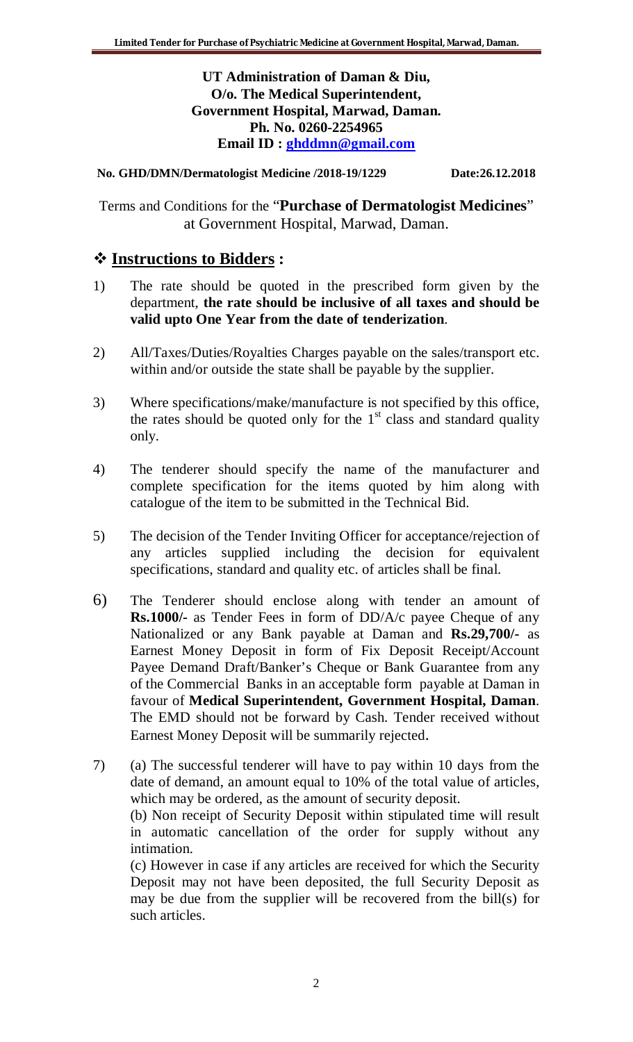**UT Administration of Daman & Diu, O/o. The Medical Superintendent, Government Hospital, Marwad, Daman. Ph. No. 0260-2254965 Email ID : ghddmn@gmail.com**

**No. GHD/DMN/Dermatologist Medicine /2018-19/1229 Date:26.12.2018**

Terms and Conditions for the "**Purchase of Dermatologist Medicines**" at Government Hospital, Marwad, Daman.

# **Instructions to Bidders :**

- 1) The rate should be quoted in the prescribed form given by the department, **the rate should be inclusive of all taxes and should be valid upto One Year from the date of tenderization**.
- 2) All/Taxes/Duties/Royalties Charges payable on the sales/transport etc. within and/or outside the state shall be payable by the supplier.
- 3) Where specifications/make/manufacture is not specified by this office, the rates should be quoted only for the  $1<sup>st</sup>$  class and standard quality only.
- 4) The tenderer should specify the name of the manufacturer and complete specification for the items quoted by him along with catalogue of the item to be submitted in the Technical Bid.
- 5) The decision of the Tender Inviting Officer for acceptance/rejection of any articles supplied including the decision for equivalent specifications, standard and quality etc. of articles shall be final.
- 6) The Tenderer should enclose along with tender an amount of **Rs.1000/-** as Tender Fees in form of DD/A/c payee Cheque of any Nationalized or any Bank payable at Daman and **Rs.29,700/-** as Earnest Money Deposit in form of Fix Deposit Receipt/Account Payee Demand Draft/Banker's Cheque or Bank Guarantee from any of the Commercial Banks in an acceptable form payable at Daman in favour of **Medical Superintendent, Government Hospital, Daman**. The EMD should not be forward by Cash. Tender received without Earnest Money Deposit will be summarily rejected.

7) (a) The successful tenderer will have to pay within 10 days from the date of demand, an amount equal to 10% of the total value of articles, which may be ordered, as the amount of security deposit.

(b) Non receipt of Security Deposit within stipulated time will result in automatic cancellation of the order for supply without any intimation.

(c) However in case if any articles are received for which the Security Deposit may not have been deposited, the full Security Deposit as may be due from the supplier will be recovered from the bill(s) for such articles.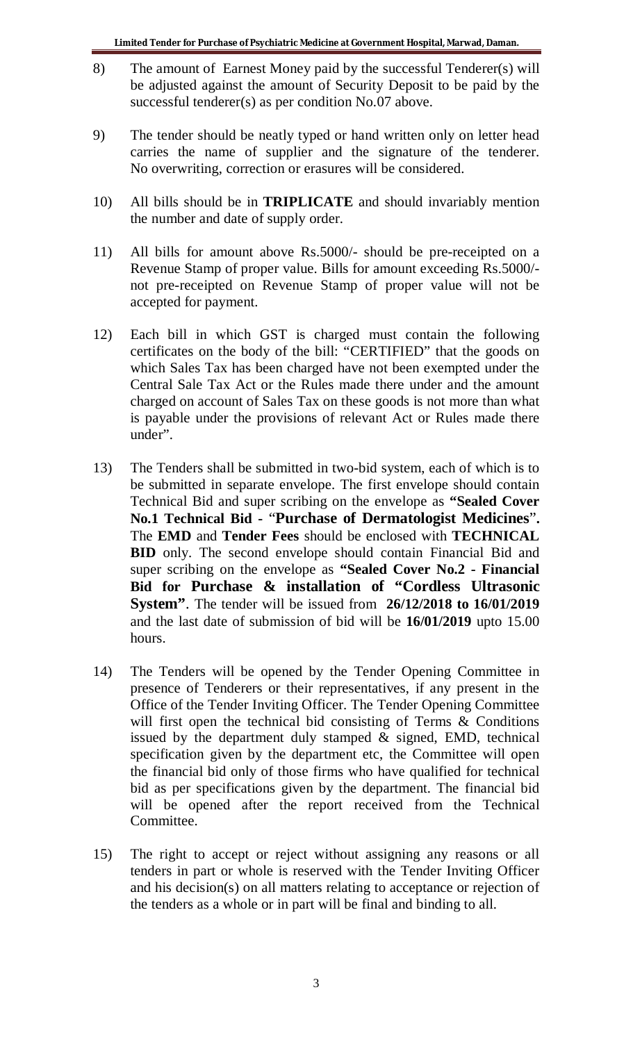- 8) The amount of Earnest Money paid by the successful Tenderer(s) will be adjusted against the amount of Security Deposit to be paid by the successful tenderer(s) as per condition No.07 above.
- 9) The tender should be neatly typed or hand written only on letter head carries the name of supplier and the signature of the tenderer. No overwriting, correction or erasures will be considered.
- 10) All bills should be in **TRIPLICATE** and should invariably mention the number and date of supply order.
- 11) All bills for amount above Rs.5000/- should be pre-receipted on a Revenue Stamp of proper value. Bills for amount exceeding Rs.5000/ not pre-receipted on Revenue Stamp of proper value will not be accepted for payment.
- 12) Each bill in which GST is charged must contain the following certificates on the body of the bill: "CERTIFIED" that the goods on which Sales Tax has been charged have not been exempted under the Central Sale Tax Act or the Rules made there under and the amount charged on account of Sales Tax on these goods is not more than what is payable under the provisions of relevant Act or Rules made there under".
- 13) The Tenders shall be submitted in two-bid system, each of which is to be submitted in separate envelope. The first envelope should contain Technical Bid and super scribing on the envelope as **"Sealed Cover No.1 Technical Bid -** "**Purchase of Dermatologist Medicines**"**.** The **EMD** and **Tender Fees** should be enclosed with **TECHNICAL BID** only. The second envelope should contain Financial Bid and super scribing on the envelope as **"Sealed Cover No.2 - Financial Bid for Purchase & installation of "Cordless Ultrasonic System"**. The tender will be issued from **26/12/2018 to 16/01/2019** and the last date of submission of bid will be **16/01/2019** upto 15.00 hours.
- 14) The Tenders will be opened by the Tender Opening Committee in presence of Tenderers or their representatives, if any present in the Office of the Tender Inviting Officer. The Tender Opening Committee will first open the technical bid consisting of Terms & Conditions issued by the department duly stamped  $\&$  signed, EMD, technical specification given by the department etc, the Committee will open the financial bid only of those firms who have qualified for technical bid as per specifications given by the department. The financial bid will be opened after the report received from the Technical Committee.
- 15) The right to accept or reject without assigning any reasons or all tenders in part or whole is reserved with the Tender Inviting Officer and his decision(s) on all matters relating to acceptance or rejection of the tenders as a whole or in part will be final and binding to all.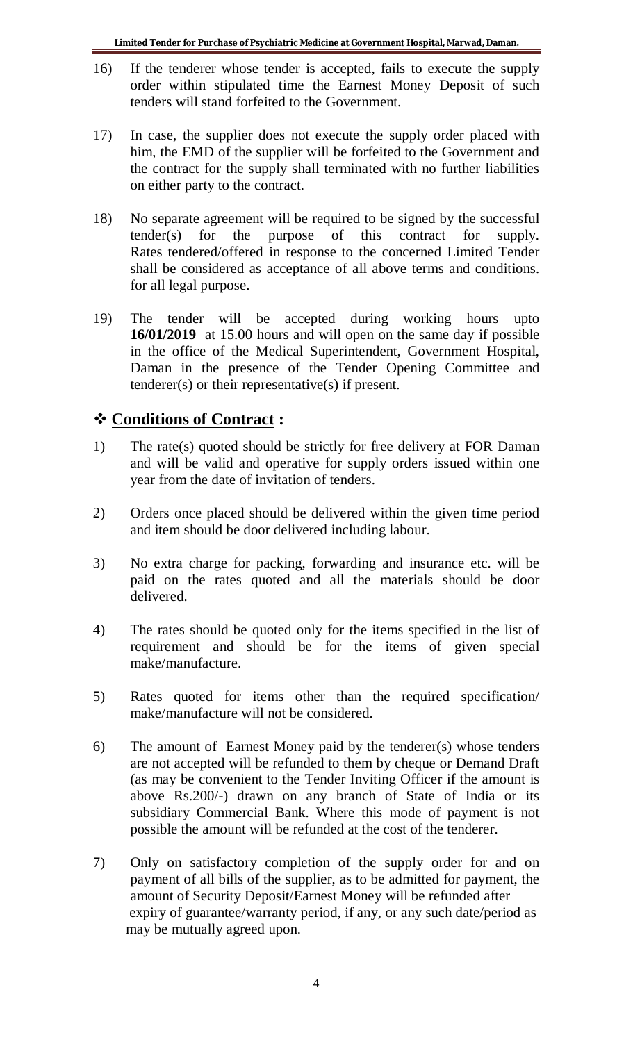- 16) If the tenderer whose tender is accepted, fails to execute the supply order within stipulated time the Earnest Money Deposit of such tenders will stand forfeited to the Government.
- 17) In case, the supplier does not execute the supply order placed with him, the EMD of the supplier will be forfeited to the Government and the contract for the supply shall terminated with no further liabilities on either party to the contract.
- 18) No separate agreement will be required to be signed by the successful tender(s) for the purpose of this contract for supply. Rates tendered/offered in response to the concerned Limited Tender shall be considered as acceptance of all above terms and conditions. for all legal purpose.
- 19) The tender will be accepted during working hours upto **16/01/2019** at 15.00 hours and will open on the same day if possible in the office of the Medical Superintendent, Government Hospital, Daman in the presence of the Tender Opening Committee and tenderer(s) or their representative(s) if present.

# **Conditions of Contract :**

- 1) The rate(s) quoted should be strictly for free delivery at FOR Daman and will be valid and operative for supply orders issued within one year from the date of invitation of tenders.
- 2) Orders once placed should be delivered within the given time period and item should be door delivered including labour.
- 3) No extra charge for packing, forwarding and insurance etc. will be paid on the rates quoted and all the materials should be door delivered.
- 4) The rates should be quoted only for the items specified in the list of requirement and should be for the items of given special make/manufacture.
- 5) Rates quoted for items other than the required specification/ make/manufacture will not be considered.
- 6) The amount of Earnest Money paid by the tenderer(s) whose tenders are not accepted will be refunded to them by cheque or Demand Draft (as may be convenient to the Tender Inviting Officer if the amount is above Rs.200/-) drawn on any branch of State of India or its subsidiary Commercial Bank. Where this mode of payment is not possible the amount will be refunded at the cost of the tenderer.
- 7) Only on satisfactory completion of the supply order for and on payment of all bills of the supplier, as to be admitted for payment, the amount of Security Deposit/Earnest Money will be refunded after expiry of guarantee/warranty period, if any, or any such date/period as may be mutually agreed upon.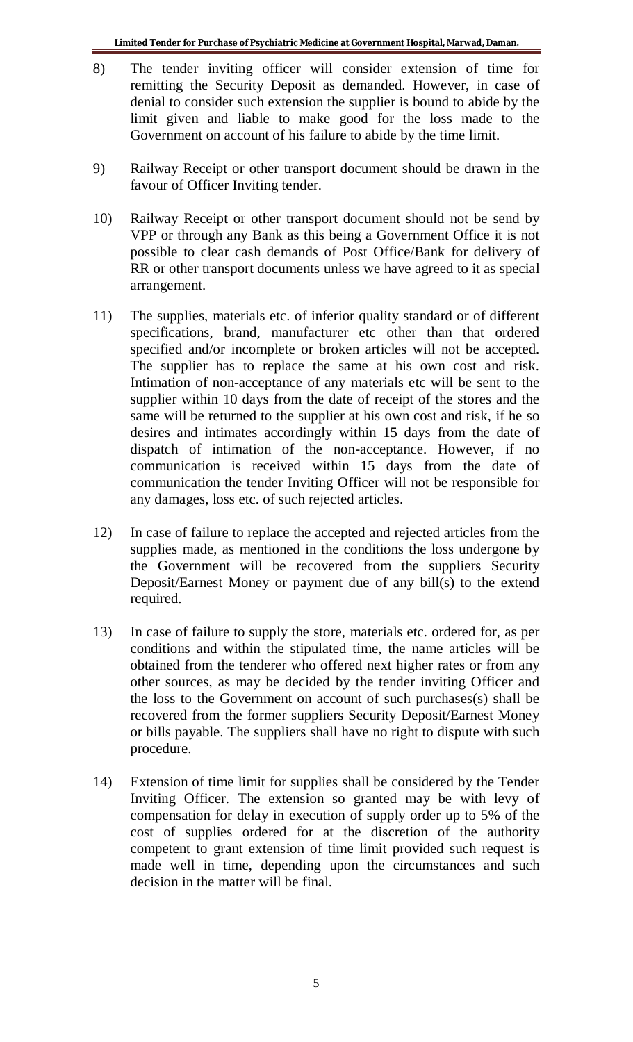- 8) The tender inviting officer will consider extension of time for remitting the Security Deposit as demanded. However, in case of denial to consider such extension the supplier is bound to abide by the limit given and liable to make good for the loss made to the Government on account of his failure to abide by the time limit.
- 9) Railway Receipt or other transport document should be drawn in the favour of Officer Inviting tender.
- 10) Railway Receipt or other transport document should not be send by VPP or through any Bank as this being a Government Office it is not possible to clear cash demands of Post Office/Bank for delivery of RR or other transport documents unless we have agreed to it as special arrangement.
- 11) The supplies, materials etc. of inferior quality standard or of different specifications, brand, manufacturer etc other than that ordered specified and/or incomplete or broken articles will not be accepted. The supplier has to replace the same at his own cost and risk. Intimation of non-acceptance of any materials etc will be sent to the supplier within 10 days from the date of receipt of the stores and the same will be returned to the supplier at his own cost and risk, if he so desires and intimates accordingly within 15 days from the date of dispatch of intimation of the non-acceptance. However, if no communication is received within 15 days from the date of communication the tender Inviting Officer will not be responsible for any damages, loss etc. of such rejected articles.
- 12) In case of failure to replace the accepted and rejected articles from the supplies made, as mentioned in the conditions the loss undergone by the Government will be recovered from the suppliers Security Deposit/Earnest Money or payment due of any bill(s) to the extend required.
- 13) In case of failure to supply the store, materials etc. ordered for, as per conditions and within the stipulated time, the name articles will be obtained from the tenderer who offered next higher rates or from any other sources, as may be decided by the tender inviting Officer and the loss to the Government on account of such purchases(s) shall be recovered from the former suppliers Security Deposit/Earnest Money or bills payable. The suppliers shall have no right to dispute with such procedure.
- 14) Extension of time limit for supplies shall be considered by the Tender Inviting Officer. The extension so granted may be with levy of compensation for delay in execution of supply order up to 5% of the cost of supplies ordered for at the discretion of the authority competent to grant extension of time limit provided such request is made well in time, depending upon the circumstances and such decision in the matter will be final.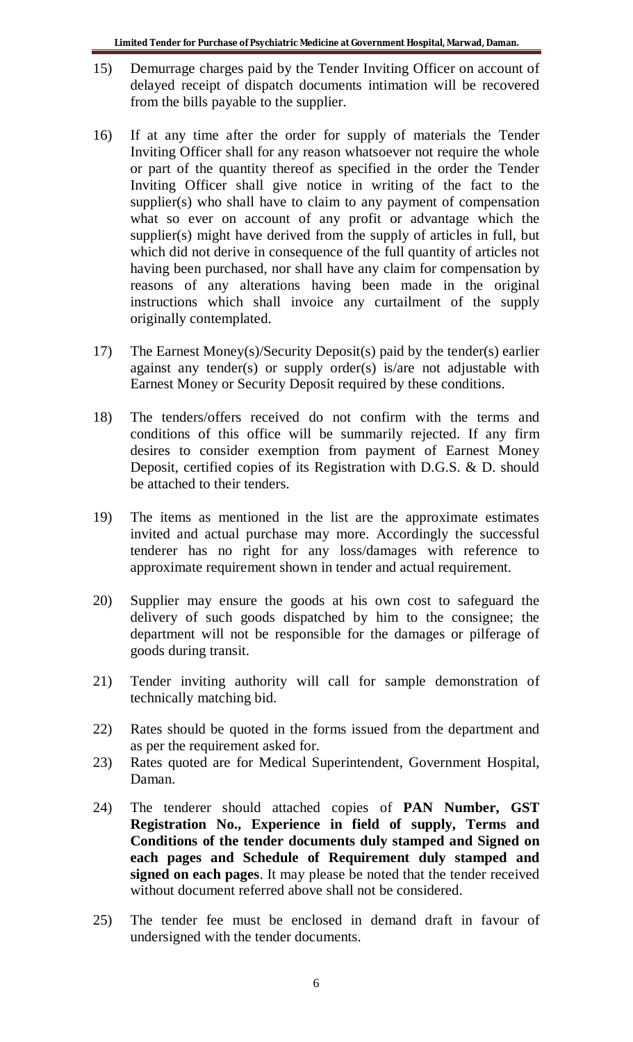- 15) Demurrage charges paid by the Tender Inviting Officer on account of delayed receipt of dispatch documents intimation will be recovered from the bills payable to the supplier.
- 16) If at any time after the order for supply of materials the Tender Inviting Officer shall for any reason whatsoever not require the whole or part of the quantity thereof as specified in the order the Tender Inviting Officer shall give notice in writing of the fact to the supplier(s) who shall have to claim to any payment of compensation what so ever on account of any profit or advantage which the supplier(s) might have derived from the supply of articles in full, but which did not derive in consequence of the full quantity of articles not having been purchased, nor shall have any claim for compensation by reasons of any alterations having been made in the original instructions which shall invoice any curtailment of the supply originally contemplated.
- 17) The Earnest Money(s)/Security Deposit(s) paid by the tender(s) earlier against any tender(s) or supply order(s) is/are not adjustable with Earnest Money or Security Deposit required by these conditions.
- 18) The tenders/offers received do not confirm with the terms and conditions of this office will be summarily rejected. If any firm desires to consider exemption from payment of Earnest Money Deposit, certified copies of its Registration with D.G.S. & D. should be attached to their tenders.
- 19) The items as mentioned in the list are the approximate estimates invited and actual purchase may more. Accordingly the successful tenderer has no right for any loss/damages with reference to approximate requirement shown in tender and actual requirement.
- 20) Supplier may ensure the goods at his own cost to safeguard the delivery of such goods dispatched by him to the consignee; the department will not be responsible for the damages or pilferage of goods during transit.
- 21) Tender inviting authority will call for sample demonstration of technically matching bid.
- 22) Rates should be quoted in the forms issued from the department and as per the requirement asked for.
- 23) Rates quoted are for Medical Superintendent, Government Hospital, Daman.
- 24) The tenderer should attached copies of **PAN Number, GST Registration No., Experience in field of supply, Terms and Conditions of the tender documents duly stamped and Signed on each pages and Schedule of Requirement duly stamped and signed on each pages**. It may please be noted that the tender received without document referred above shall not be considered.
- 25) The tender fee must be enclosed in demand draft in favour of undersigned with the tender documents.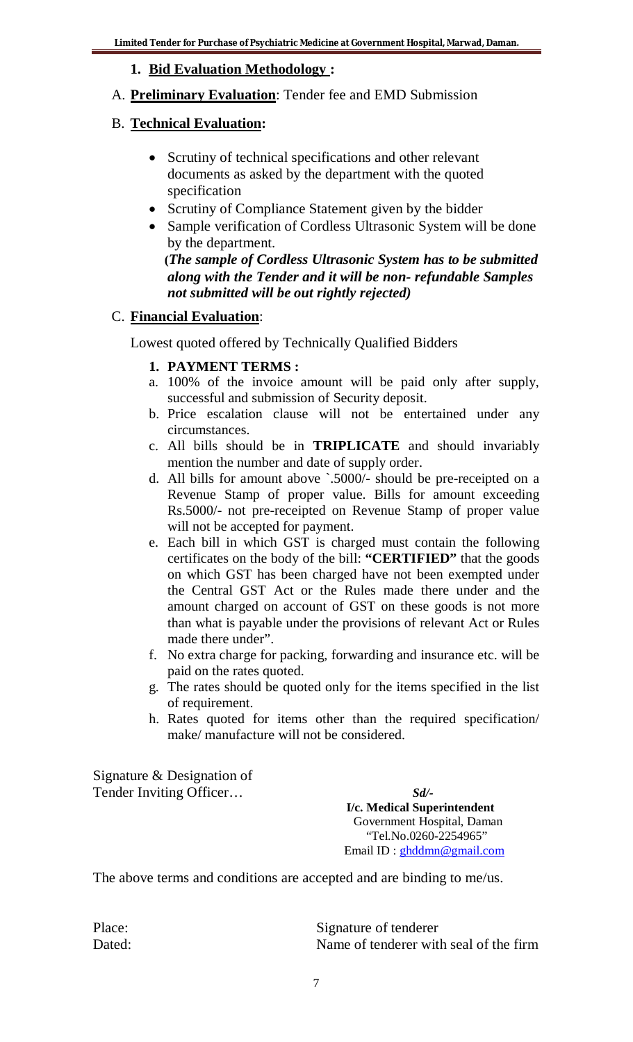**1. Bid Evaluation Methodology :**

# A. **Preliminary Evaluation**: Tender fee and EMD Submission

# B. **Technical Evaluation:**

- Scrutiny of technical specifications and other relevant documents as asked by the department with the quoted specification
- Scrutiny of Compliance Statement given by the bidder
- Sample verification of Cordless Ultrasonic System will be done by the department.

 **(***The sample of Cordless Ultrasonic System has to be submitted along with the Tender and it will be non- refundable Samples not submitted will be out rightly rejected)* 

# C. **Financial Evaluation**:

Lowest quoted offered by Technically Qualified Bidders

# **1. PAYMENT TERMS :**

- a. 100% of the invoice amount will be paid only after supply, successful and submission of Security deposit.
- b. Price escalation clause will not be entertained under any circumstances.
- c. All bills should be in **TRIPLICATE** and should invariably mention the number and date of supply order.
- d. All bills for amount above `.5000/- should be pre-receipted on a Revenue Stamp of proper value. Bills for amount exceeding Rs.5000/- not pre-receipted on Revenue Stamp of proper value will not be accepted for payment.
- e. Each bill in which GST is charged must contain the following certificates on the body of the bill: **"CERTIFIED"** that the goods on which GST has been charged have not been exempted under the Central GST Act or the Rules made there under and the amount charged on account of GST on these goods is not more than what is payable under the provisions of relevant Act or Rules made there under".
- f. No extra charge for packing, forwarding and insurance etc. will be paid on the rates quoted.
- g. The rates should be quoted only for the items specified in the list of requirement.
- h. Rates quoted for items other than the required specification/ make/ manufacture will not be considered.

Signature & Designation of Tender Inviting Officer…*Sd/-*

 **I/c. Medical Superintendent** Government Hospital, Daman "Tel.No.0260-2254965" Email ID : ghddmn@gmail.com

The above terms and conditions are accepted and are binding to me/us.

Place: Signature of tenderer Dated: Name of tenderer with seal of the firm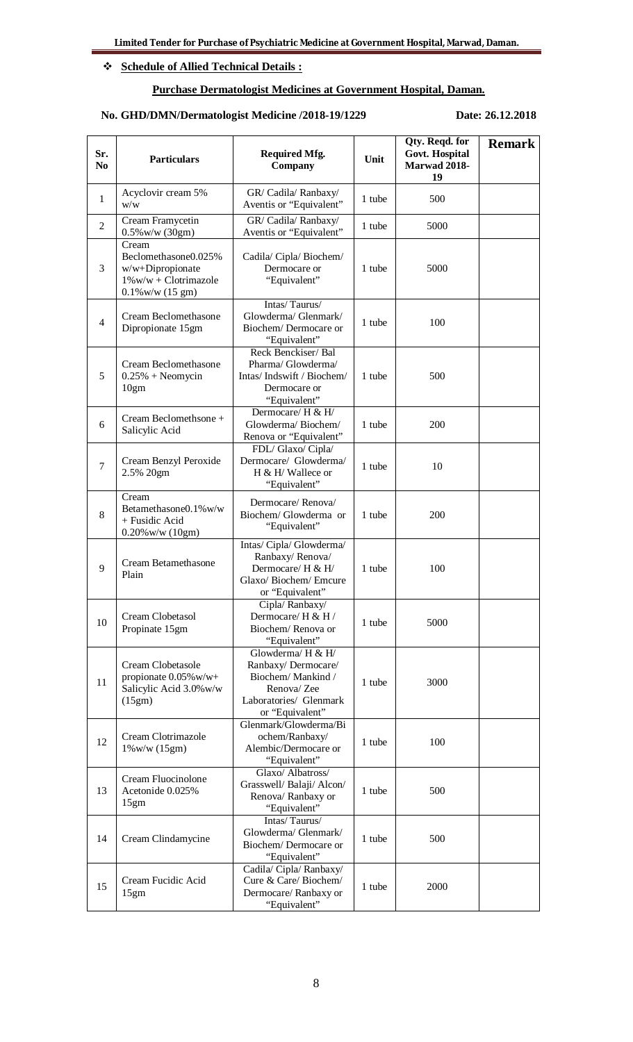### **Schedule of Allied Technical Details :**

### **Purchase Dermatologist Medicines at Government Hospital, Daman.**

### **No. GHD/DMN/Dermatologist Medicine /2018-19/1229 Date: 26.12.2018**

| Sr.<br>N <sub>0</sub> | <b>Particulars</b>                                                                                             | <b>Required Mfg.</b><br>Company                                                                                         | Unit   | Qty. Reqd. for<br>Govt. Hospital<br>Marwad 2018-<br>19 | <b>Remark</b> |
|-----------------------|----------------------------------------------------------------------------------------------------------------|-------------------------------------------------------------------------------------------------------------------------|--------|--------------------------------------------------------|---------------|
| $\mathbf{1}$          | Acyclovir cream 5%<br>W/W                                                                                      | GR/ Cadila/ Ranbaxy/<br>Aventis or "Equivalent"                                                                         | 1 tube | 500                                                    |               |
| $\overline{2}$        | Cream Framycetin<br>$0.5\%$ w/w (30gm)                                                                         | GR/ Cadila/ Ranbaxy/<br>Aventis or "Equivalent"                                                                         | 1 tube | 5000                                                   |               |
| 3                     | Cream<br>Beclomethasone0.025%<br>w/w+Dipropionate<br>$1\%$ w/w + Clotrimazole<br>$0.1\%$ w/w $(15 \text{ gm})$ | Cadila/ Cipla/ Biochem/<br>Dermocare or<br>"Equivalent"                                                                 | 1 tube | 5000                                                   |               |
| $\overline{4}$        | Cream Beclomethasone<br>Dipropionate 15gm                                                                      | Intas/Taurus/<br>Glowderma/ Glenmark/<br>Biochem/Dermocare or<br>"Equivalent"                                           | 1 tube | 100                                                    |               |
| 5                     | Cream Beclomethasone<br>$0.25% + Neomycin$<br>10gm                                                             | Reck Benckiser/ Bal<br>Pharma/ Glowderma/<br>Intas/Indswift / Biochem/<br>Dermocare or<br>"Equivalent"                  | 1 tube | 500                                                    |               |
| 6                     | Cream Beclomethsone +<br>Salicylic Acid                                                                        | Dermocare/ H & H/<br>Glowderma/Biochem/<br>Renova or "Equivalent"                                                       | 1 tube | 200                                                    |               |
| $\tau$                | Cream Benzyl Peroxide<br>2.5% 20gm                                                                             | FDL/ Glaxo/ Cipla/<br>Dermocare/ Glowderma/<br>H & H/ Wallece or<br>"Equivalent"                                        | 1 tube | 10                                                     |               |
| 8                     | Cream<br>Betamethasone0.1%w/w<br>+ Fusidic Acid<br>$0.20\%$ w/w $(10gm)$                                       | Dermocare/Renova/<br>Biochem/Glowderma or<br>"Equivalent"                                                               | 1 tube | 200                                                    |               |
| 9                     | Cream Betamethasone<br>Plain                                                                                   | Intas/ Cipla/ Glowderma/<br>Ranbaxy/Renova/<br>Dermocare/ H & H/<br>Glaxo/Biochem/Emcure<br>or "Equivalent"             | 1 tube | 100                                                    |               |
| 10                    | Cream Clobetasol<br>Propinate 15gm                                                                             | Cipla/Ranbaxy/<br>Dermocare/H & H /<br>Biochem/Renova or<br>"Equivalent"                                                | 1 tube | 5000                                                   |               |
| 11                    | Cream Clobetasole<br>propionate 0.05% w/w+<br>Salicylic Acid 3.0% w/w<br>(15gm)                                | Glowderma/ H & H/<br>Ranbaxy/Dermocare/<br>Biochem/Mankind/<br>Renova/ Zee<br>Laboratories/ Glenmark<br>or "Equivalent" | 1 tube | 3000                                                   |               |
| 12                    | Cream Clotrimazole<br>$1\%$ w/w $(15gm)$                                                                       | Glenmark/Glowderma/Bi<br>ochem/Ranbaxy/<br>Alembic/Dermocare or<br>"Equivalent"                                         | 1 tube | 100                                                    |               |
| 13                    | Cream Fluocinolone<br>Acetonide 0.025%<br>15gm                                                                 | Glaxo/ Albatross/<br>Grasswell/ Balaji/ Alcon/<br>Renova/ Ranbaxy or<br>"Equivalent"                                    | 1 tube | 500                                                    |               |
| 14                    | Cream Clindamycine                                                                                             | Intas/Taurus/<br>Glowderma/ Glenmark/<br>Biochem/Dermocare or<br>"Equivalent"                                           | 1 tube | 500                                                    |               |
| 15                    | Cream Fucidic Acid<br>15gm                                                                                     | Cadila/ Cipla/ Ranbaxy/<br>Cure & Care/ Biochem/<br>Dermocare/Ranbaxy or<br>"Equivalent"                                | 1 tube | 2000                                                   |               |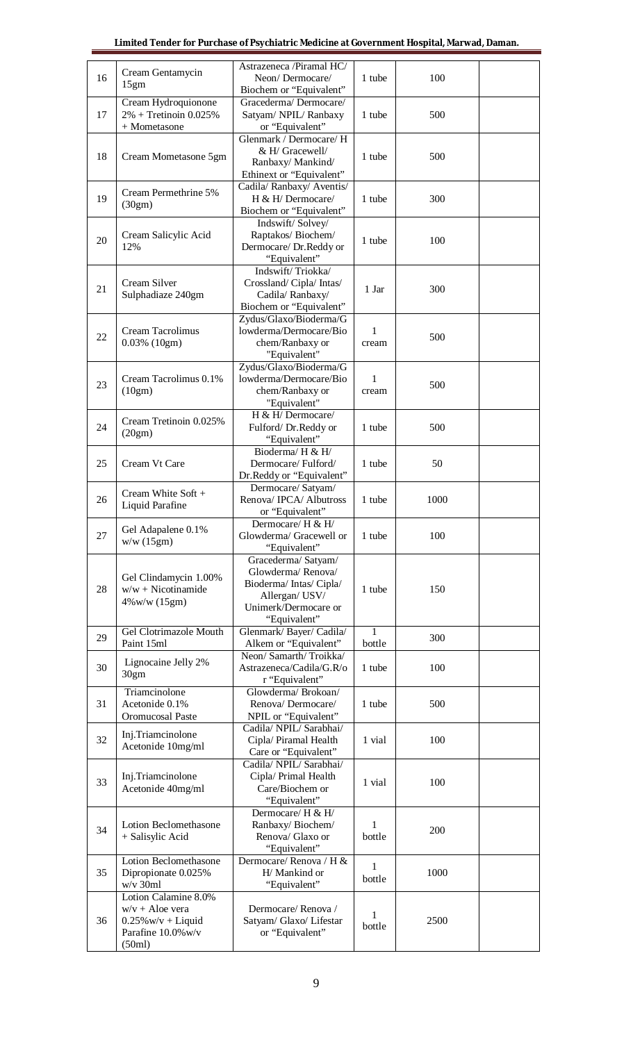|    | Cream Gentamycin                                                                                    | Astrazeneca /Piramal HC/                                                                                                    |                       |      |  |
|----|-----------------------------------------------------------------------------------------------------|-----------------------------------------------------------------------------------------------------------------------------|-----------------------|------|--|
| 16 | 15gm                                                                                                | Neon/Dermocare/<br>Biochem or "Equivalent"                                                                                  | 1 tube                | 100  |  |
| 17 | Cream Hydroquionone<br>$2\%$ + Tretinoin 0.025%<br>+ Mometasone                                     | Gracederma/Dermocare/<br>Satyam/ NPIL/ Ranbaxy<br>or "Equivalent"                                                           | 1 tube                | 500  |  |
| 18 | Cream Mometasone 5gm                                                                                | Glenmark / Dermocare/ H<br>& H/ Gracewell/<br>Ranbaxy/Mankind/<br>Ethinext or "Equivalent"                                  | 1 tube                | 500  |  |
| 19 | Cream Permethrine 5%<br>(30gm)                                                                      | Cadila/ Ranbaxy/ Aventis/<br>H & H/ Dermocare/<br>Biochem or "Equivalent"                                                   | 1 tube                | 300  |  |
| 20 | Cream Salicylic Acid<br>12%                                                                         | Indswift/Solvey/<br>Raptakos/Biochem/<br>Dermocare/ Dr.Reddy or<br>"Equivalent"                                             | 1 tube                | 100  |  |
| 21 | Cream Silver<br>Sulphadiaze 240gm                                                                   | Indswift/Triokka/<br>Crossland/Cipla/Intas/<br>Cadila/Ranbaxy/<br>Biochem or "Equivalent"                                   | 1 Jar                 | 300  |  |
| 22 | Cream Tacrolimus<br>$0.03\%$ (10gm)                                                                 | Zydus/Glaxo/Bioderma/G<br>lowderma/Dermocare/Bio<br>chem/Ranbaxy or<br>"Equivalent"                                         | $\mathbf{1}$<br>cream | 500  |  |
| 23 | Cream Tacrolimus 0.1%<br>(10gm)                                                                     | Zydus/Glaxo/Bioderma/G<br>lowderma/Dermocare/Bio<br>chem/Ranbaxy or<br>"Equivalent"                                         | 1<br>cream            | 500  |  |
| 24 | Cream Tretinoin 0.025%<br>(20gm)                                                                    | H & H/ Dermocare/<br>Fulford/Dr.Reddy or<br>"Equivalent"                                                                    | 1 tube                | 500  |  |
| 25 | Cream Vt Care                                                                                       | Bioderma/H & H/<br>Dermocare/Fulford/<br>Dr.Reddy or "Equivalent"                                                           | 1 tube                | 50   |  |
| 26 | Cream White Soft +<br>Liquid Parafine                                                               | Dermocare/ Satyam/<br>Renova/ IPCA/ Albutross<br>or "Equivalent"                                                            | 1 tube                | 1000 |  |
| 27 | Gel Adapalene 0.1%<br>w/w(15gm)                                                                     | Dermocare/ H & H/<br>Glowderma/ Gracewell or<br>"Equivalent"                                                                | 1 tube                | 100  |  |
| 28 | Gel Clindamycin 1.00%<br>$w/w + Nicotinamide$<br>$4\%$ w/w (15gm)                                   | Gracederma/ Satyam/<br>Glowderma/Renova/<br>Bioderma/Intas/Cipla/<br>Allergan/ USV/<br>Unimerk/Dermocare or<br>"Equivalent" | 1 tube                | 150  |  |
| 29 | Gel Clotrimazole Mouth<br>Paint 15ml                                                                | Glenmark/Bayer/Cadila/<br>Alkem or "Equivalent"                                                                             | 1<br>bottle           | 300  |  |
| 30 | Lignocaine Jelly 2%<br>30gm                                                                         | Neon/ Samarth/Troikka/<br>Astrazeneca/Cadila/G.R/o<br>r "Equivalent"                                                        | 1 tube                | 100  |  |
| 31 | Triamcinolone<br>Acetonide 0.1%<br>Oromucosal Paste                                                 | Glowderma/ Brokoan/<br>Renova/Dermocare/<br>NPIL or "Equivalent"                                                            | 1 tube                | 500  |  |
| 32 | Inj.Triamcinolone<br>Acetonide 10mg/ml                                                              | Cadila/ NPIL/ Sarabhai/<br>Cipla/ Piramal Health<br>Care or "Equivalent"                                                    | 1 vial                | 100  |  |
| 33 | Inj.Triamcinolone<br>Acetonide 40mg/ml                                                              | Cadila/ NPIL/ Sarabhai/<br>Cipla/ Primal Health<br>Care/Biochem or<br>"Equivalent"                                          | 1 vial                | 100  |  |
| 34 | Lotion Beclomethasone<br>+ Salisylic Acid                                                           | Dermocare/ H & H/<br>Ranbaxy/Biochem/<br>Renova/ Glaxo or<br>"Equivalent"                                                   | 1<br>bottle           | 200  |  |
| 35 | Lotion Beclomethasone<br>Dipropionate 0.025%<br>$w/v$ 30ml                                          | Dermocare/Renova / H &<br>H/ Mankind or<br>"Equivalent"                                                                     | 1<br>bottle           | 1000 |  |
| 36 | Lotion Calamine 8.0%<br>$w/v + A$ loe vera<br>$0.25\%$ w/v + Liquid<br>Parafine 10.0% w/v<br>(50ml) | Dermocare/Renova/<br>Satyam/ Glaxo/ Lifestar<br>or "Equivalent"                                                             | 1<br>bottle           | 2500 |  |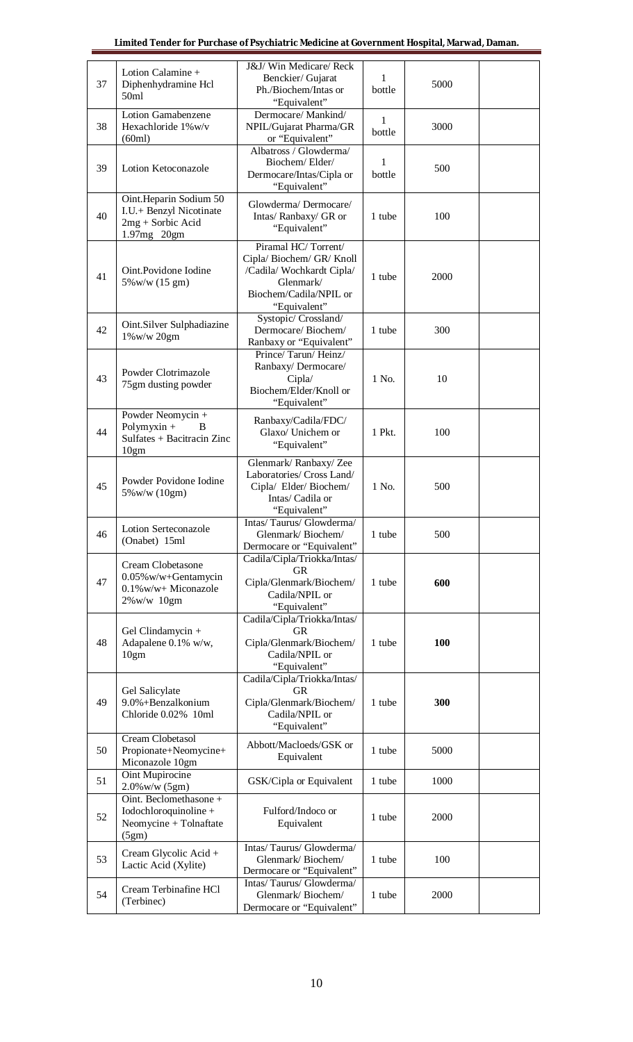| 37 | Lotion Calamine +<br>Diphenhydramine Hcl<br>50ml                                        | J&J/ Win Medicare/ Reck<br>Benckier/ Gujarat<br>Ph./Biochem/Intas or<br>"Equivalent"                                              | 1<br>bottle | 5000 |  |
|----|-----------------------------------------------------------------------------------------|-----------------------------------------------------------------------------------------------------------------------------------|-------------|------|--|
| 38 | Lotion Gamabenzene<br>Hexachloride 1%w/v<br>(60ml)                                      | Dermocare/Mankind/<br>NPIL/Gujarat Pharma/GR<br>or "Equivalent"                                                                   | 1<br>bottle | 3000 |  |
| 39 | Lotion Ketoconazole                                                                     | Albatross / Glowderma/<br>Biochem/Elder/<br>Dermocare/Intas/Cipla or<br>"Equivalent"                                              | 1<br>bottle | 500  |  |
| 40 | Oint.Heparin Sodium 50<br>I.U.+ Benzyl Nicotinate<br>$2mg +$ Sorbic Acid<br>1.97mg 20gm | Glowderma/Dermocare/<br>Intas/ Ranbaxy/ GR or<br>"Equivalent"                                                                     | 1 tube      | 100  |  |
| 41 | Oint.Povidone Iodine<br>5% w/w (15 gm)                                                  | Piramal HC/Torrent/<br>Cipla/Biochem/GR/Knoll<br>/Cadila/ Wochkardt Cipla/<br>Glenmark/<br>Biochem/Cadila/NPIL or<br>"Equivalent" | 1 tube      | 2000 |  |
| 42 | Oint.Silver Sulphadiazine<br>1%w/w 20gm                                                 | Systopic/ Crossland/<br>Dermocare/Biochem/<br>Ranbaxy or "Equivalent"                                                             | 1 tube      | 300  |  |
| 43 | Powder Clotrimazole<br>75gm dusting powder                                              | Prince/Tarun/Heinz/<br>Ranbaxy/Dermocare/<br>Cipla/<br>Biochem/Elder/Knoll or<br>"Equivalent"                                     | 1 No.       | 10   |  |
| 44 | Powder Neomycin +<br>Polymyxin $+$<br>B<br>Sulfates + Bacitracin Zinc<br>10gm           | Ranbaxy/Cadila/FDC/<br>Glaxo/ Unichem or<br>"Equivalent"                                                                          | 1 Pkt.      | 100  |  |
| 45 | Powder Povidone Iodine<br>5% w/w (10gm)                                                 | Glenmark/Ranbaxy/Zee<br>Laboratories/ Cross Land/<br>Cipla/ Elder/ Biochem/<br>Intas/ Cadila or<br>"Equivalent"                   | 1 No.       | 500  |  |
| 46 | <b>Lotion Serteconazole</b><br>(Onabet) 15ml                                            | Intas/Taurus/Glowderma/<br>Glenmark/Biochem/<br>Dermocare or "Equivalent"                                                         | 1 tube      | 500  |  |
| 47 | Cream Clobetasone<br>0.05% w/w+Gentamycin<br>0.1%w/w+ Miconazole<br>2%w/w 10gm          | Cadila/Cipla/Triokka/Intas/<br><b>GR</b><br>Cipla/Glenmark/Biochem/<br>Cadila/NPIL or<br>"Equivalent"                             | 1 tube      | 600  |  |
| 48 | Gel Clindamycin +<br>Adapalene 0.1% w/w,<br>10gm                                        | Cadila/Cipla/Triokka/Intas/<br><b>GR</b><br>Cipla/Glenmark/Biochem/<br>Cadila/NPIL or<br>"Equivalent"                             | 1 tube      | 100  |  |
| 49 | Gel Salicylate<br>9.0%+Benzalkonium<br>Chloride 0.02% 10ml                              | Cadila/Cipla/Triokka/Intas/<br><b>GR</b><br>Cipla/Glenmark/Biochem/<br>Cadila/NPIL or<br>"Equivalent"                             | 1 tube      | 300  |  |
| 50 | Cream Clobetasol<br>Propionate+Neomycine+<br>Miconazole 10gm                            | Abbott/Macloeds/GSK or<br>Equivalent                                                                                              | 1 tube      | 5000 |  |
| 51 | Oint Mupirocine<br>$2.0\%$ w/w $(5gm)$                                                  | GSK/Cipla or Equivalent                                                                                                           | 1 tube      | 1000 |  |
| 52 | Oint. Beclomethasone +<br>Iodochloroquinoline +<br>Neomycine + Tolnaftate<br>(5gm)      | Fulford/Indoco or<br>Equivalent                                                                                                   | 1 tube      | 2000 |  |
| 53 | Cream Glycolic Acid +<br>Lactic Acid (Xylite)                                           | Intas/Taurus/Glowderma/<br>Glenmark/Biochem/<br>Dermocare or "Equivalent"                                                         | 1 tube      | 100  |  |
| 54 | Cream Terbinafine HCl<br>(Terbinec)                                                     | Intas/Taurus/Glowderma/<br>Glenmark/Biochem/<br>Dermocare or "Equivalent"                                                         | 1 tube      | 2000 |  |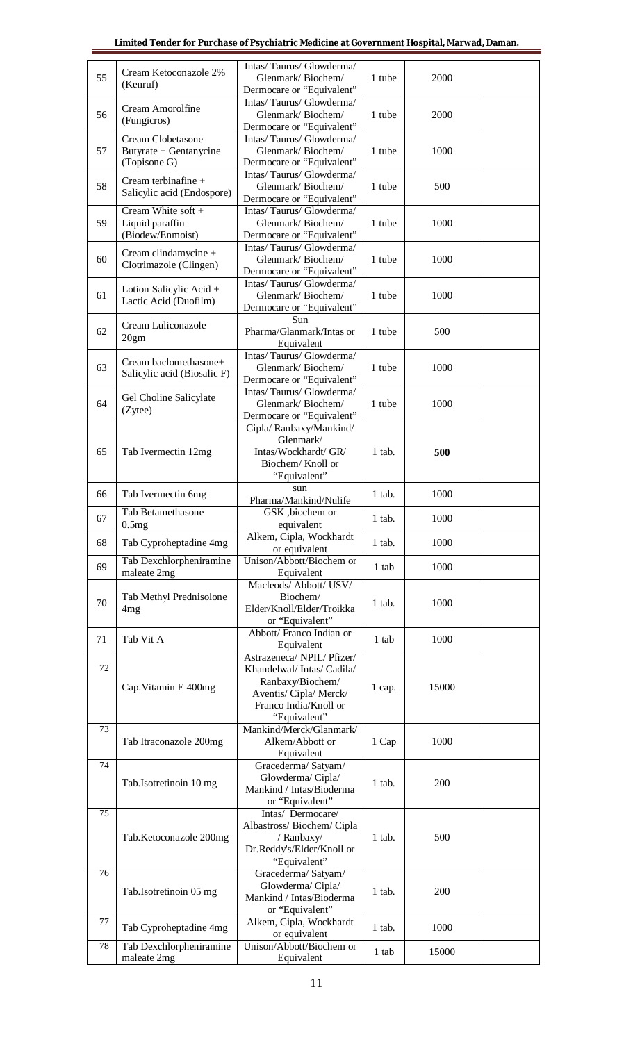| 55 | Cream Ketoconazole 2%<br>(Kenruf)                                  | Intas/Taurus/Glowderma/<br>Glenmark/Biochem/<br>Dermocare or "Equivalent"                                                                   | 1 tube   | 2000  |  |
|----|--------------------------------------------------------------------|---------------------------------------------------------------------------------------------------------------------------------------------|----------|-------|--|
| 56 | Cream Amorolfine<br>(Fungicros)                                    | Intas/Taurus/Glowderma/<br>Glenmark/Biochem/<br>Dermocare or "Equivalent"                                                                   | 1 tube   | 2000  |  |
| 57 | Cream Clobetasone<br>Butyrate + Gentanycine<br>(Topisone G)        | Intas/Taurus/Glowderma/<br>Glenmark/Biochem/<br>Dermocare or "Equivalent"                                                                   | 1 tube   | 1000  |  |
| 58 | Cream terbinafine +<br>Salicylic acid (Endospore)                  | Intas/Taurus/Glowderma/<br>Glenmark/Biochem/                                                                                                | 1 tube   | 500   |  |
| 59 | Cream White soft +<br>Liquid paraffin                              | Dermocare or "Equivalent"<br>Intas/Taurus/Glowderma/<br>Glenmark/Biochem/                                                                   | 1 tube   | 1000  |  |
| 60 | (Biodew/Enmoist)<br>Cream clindamycine +<br>Clotrimazole (Clingen) | Dermocare or "Equivalent"<br>Intas/Taurus/Glowderma/<br>Glenmark/Biochem/                                                                   | 1 tube   | 1000  |  |
| 61 | Lotion Salicylic Acid +<br>Lactic Acid (Duofilm)                   | Dermocare or "Equivalent"<br>Intas/Taurus/Glowderma/<br>Glenmark/Biochem/                                                                   | 1 tube   | 1000  |  |
| 62 | Cream Luliconazole<br>20gm                                         | Dermocare or "Equivalent"<br>Sun<br>Pharma/Glanmark/Intas or                                                                                | 1 tube   | 500   |  |
| 63 | Cream baclomethasone+                                              | Equivalent<br>Intas/Taurus/Glowderma/<br>Glenmark/Biochem/                                                                                  | 1 tube   | 1000  |  |
| 64 | Salicylic acid (Biosalic F)<br>Gel Choline Salicylate              | Dermocare or "Equivalent"<br>Intas/Taurus/Glowderma/<br>Glenmark/Biochem/                                                                   | 1 tube   | 1000  |  |
|    | (Zytee)                                                            | Dermocare or "Equivalent"<br>Cipla/Ranbaxy/Mankind/<br>Glenmark/                                                                            |          |       |  |
| 65 | Tab Ivermectin 12mg                                                | Intas/Wockhardt/ GR/<br>Biochem/Knoll or<br>"Equivalent"                                                                                    | 1 tab.   | 500   |  |
| 66 | Tab Ivermectin 6mg                                                 | sun<br>Pharma/Mankind/Nulife                                                                                                                | $1$ tab. | 1000  |  |
| 67 | Tab Betamethasone<br>0.5mg                                         | GSK, biochem or<br>equivalent                                                                                                               | 1 tab.   | 1000  |  |
| 68 | Tab Cyproheptadine 4mg                                             | Alkem, Cipla, Wockhardt<br>or equivalent                                                                                                    | $1$ tab. | 1000  |  |
| 69 | Tab Dexchlorpheniramine<br>maleate 2mg                             | Unison/Abbott/Biochem or<br>Equivalent                                                                                                      | 1 tab    | 1000  |  |
| 70 | Tab Methyl Prednisolone<br>4mg                                     | Macleods/ Abbott/ USV/<br>Biochem/<br>Elder/Knoll/Elder/Troikka<br>or "Equivalent"                                                          | 1 tab.   | 1000  |  |
| 71 | Tab Vit A                                                          | Abbott/ Franco Indian or<br>Equivalent                                                                                                      | 1 tab    | 1000  |  |
| 72 | Cap. Vitamin E 400mg                                               | Astrazeneca/NPIL/Pfizer/<br>Khandelwal/Intas/Cadila/<br>Ranbaxy/Biochem/<br>Aventis/ Cipla/ Merck/<br>Franco India/Knoll or<br>"Equivalent" | 1 cap.   | 15000 |  |
| 73 | Tab Itraconazole 200mg                                             | Mankind/Merck/Glanmark/<br>Alkem/Abbott or<br>Equivalent                                                                                    | 1 Cap    | 1000  |  |
| 74 | Tab.Isotretinoin 10 mg                                             | Gracederma/ Satyam/<br>Glowderma/Cipla/<br>Mankind / Intas/Bioderma<br>or "Equivalent"                                                      | 1 tab.   | 200   |  |
| 75 | Tab.Ketoconazole 200mg                                             | Intas/ Dermocare/<br>Albastross/Biochem/Cipla<br>/ Ranbaxy/<br>Dr.Reddy's/Elder/Knoll or<br>"Equivalent"                                    | 1 tab.   | 500   |  |
| 76 | Tab.Isotretinoin 05 mg                                             | Gracederma/ Satyam/<br>Glowderma/Cipla/<br>Mankind / Intas/Bioderma<br>or "Equivalent"                                                      | 1 tab.   | 200   |  |
| 77 | Tab Cyproheptadine 4mg                                             | Alkem, Cipla, Wockhardt<br>or equivalent                                                                                                    | $1$ tab. | 1000  |  |
| 78 | Tab Dexchlorpheniramine<br>maleate 2mg                             | Unison/Abbott/Biochem or<br>Equivalent                                                                                                      | 1 tab    | 15000 |  |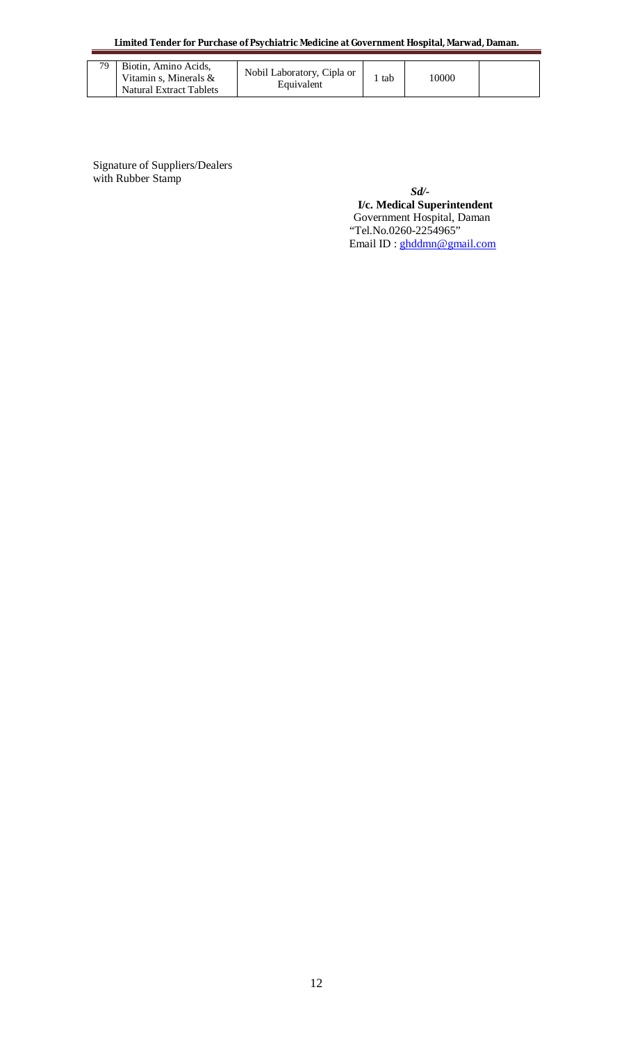**Limited Tender for Purchase of Psychiatric Medicine at Government Hospital, Marwad, Daman.**

| 79 | Biotin. Amino Acids.<br>Vitamin s. Minerals $\&$<br>Natural Extract Tablets | Nobil Laboratory, Cipla or<br>Equivalent | tab | 10000 |  |
|----|-----------------------------------------------------------------------------|------------------------------------------|-----|-------|--|
|----|-----------------------------------------------------------------------------|------------------------------------------|-----|-------|--|

Signature of Suppliers/Dealers with Rubber Stamp

*Sd/-*  **I/c. Medical Superintendent** Government Hospital, Daman "Tel.No.0260-2254965" Email ID : ghddmn@gmail.com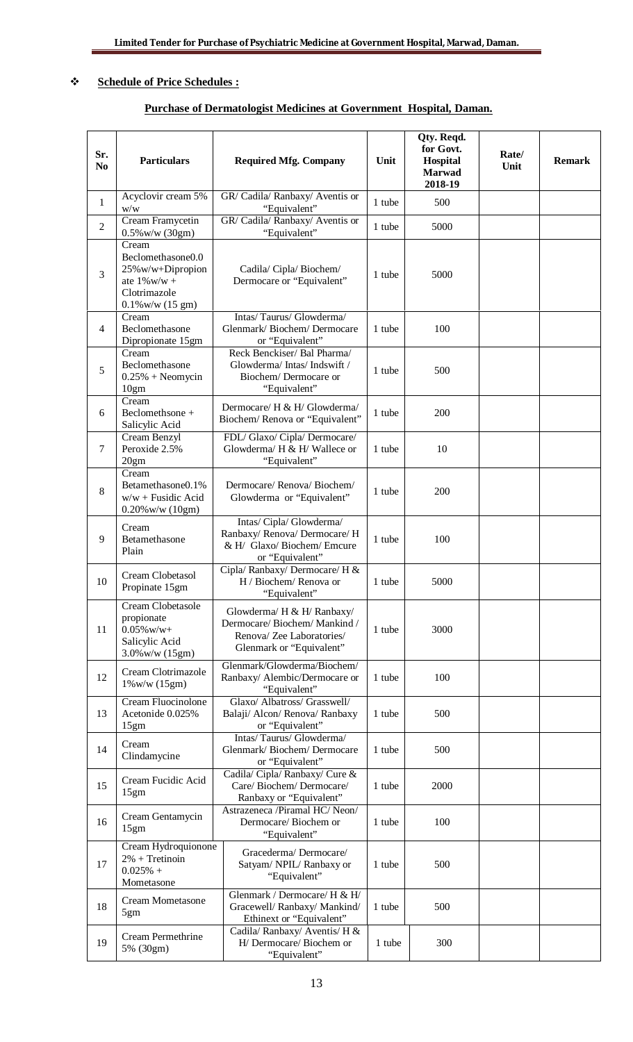## **Schedule of Price Schedules :**

## **Purchase of Dermatologist Medicines at Government Hospital, Daman.**

| Sr.<br>N <sub>0</sub> | <b>Particulars</b>                                                                                                 | <b>Required Mfg. Company</b>                                                                                      | Unit   | Qty. Reqd.<br>for Govt.<br>Hospital<br>Marwad<br>2018-19 | Rate/<br>Unit | <b>Remark</b> |
|-----------------------|--------------------------------------------------------------------------------------------------------------------|-------------------------------------------------------------------------------------------------------------------|--------|----------------------------------------------------------|---------------|---------------|
| $\mathbf{1}$          | Acyclovir cream 5%<br>$\ensuremath{\text{w}}\xspace/\ensuremath{\text{w}}\xspace$                                  | GR/ Cadila/ Ranbaxy/ Aventis or<br>"Equivalent"                                                                   | 1 tube | 500                                                      |               |               |
| $\overline{2}$        | Cream Framycetin<br>$0.5\%$ w/w (30gm)                                                                             | GR/ Cadila/ Ranbaxy/ Aventis or<br>"Equivalent"                                                                   | 1 tube | 5000                                                     |               |               |
| 3                     | Cream<br>Beclomethasone0.0<br>25%w/w+Dipropion<br>ate $1\%$ w/w +<br>Clotrimazole<br>$0.1\%$ w/w $(15 \text{ gm})$ | Cadila/Cipla/Biochem/<br>Dermocare or "Equivalent"                                                                | 1 tube | 5000                                                     |               |               |
| $\overline{4}$        | Cream<br>Beclomethasone<br>Dipropionate 15gm                                                                       | Intas/Taurus/Glowderma/<br>Glenmark/Biochem/Dermocare<br>or "Equivalent"                                          | 1 tube | 100                                                      |               |               |
| 5                     | Cream<br>Beclomethasone<br>$0.25% + Neomycin$<br>10gm                                                              | Reck Benckiser/ Bal Pharma/<br>Glowderma/Intas/Indswift/<br>Biochem/Dermocare or<br>"Equivalent"                  | 1 tube | 500                                                      |               |               |
| 6                     | Cream<br>Beclomethsone +<br>Salicylic Acid                                                                         | Dermocare/ H & H/ Glowderma/<br>Biochem/Renova or "Equivalent"                                                    | 1 tube | 200                                                      |               |               |
| $\overline{7}$        | Cream Benzyl<br>Peroxide 2.5%<br>20gm                                                                              | FDL/ Glaxo/ Cipla/ Dermocare/<br>Glowderma/ H & H/ Wallece or<br>"Equivalent"                                     | 1 tube | 10                                                       |               |               |
| 8                     | Cream<br>Betamethasone0.1%<br>$w/w + Fusidic Acid$<br>$0.20\%$ w/w $(10gm)$                                        | Dermocare/Renova/Biochem/<br>Glowderma or "Equivalent"                                                            | 1 tube | 200                                                      |               |               |
| 9                     | Cream<br>Betamethasone<br>Plain                                                                                    | Intas/ Cipla/ Glowderma/<br>Ranbaxy/ Renova/ Dermocare/ H<br>& H/ Glaxo/Biochem/Emcure<br>or "Equivalent"         | 1 tube | 100                                                      |               |               |
| 10                    | Cream Clobetasol<br>Propinate 15gm                                                                                 | Cipla/ Ranbaxy/ Dermocare/ H &<br>H / Biochem/ Renova or<br>"Equivalent"                                          | 1 tube | 5000                                                     |               |               |
| 11                    | Cream Clobetasole<br>propionate<br>$0.05\%$ w/w+<br>Salicylic Acid<br>3.0% w/w (15gm)                              | Glowderma/ H & H/ Ranbaxy/<br>Dermocare/Biochem/Mankind/<br>Renova/ Zee Laboratories/<br>Glenmark or "Equivalent" | 1 tube | 3000                                                     |               |               |
| 12                    | Cream Clotrimazole<br>$1\%$ w/w $(15gm)$                                                                           | Glenmark/Glowderma/Biochem/<br>Ranbaxy/ Alembic/Dermocare or<br>"Equivalent"                                      | 1 tube | 100                                                      |               |               |
| 13                    | Cream Fluocinolone<br>Acetonide 0.025%<br>15gm                                                                     | Glaxo/ Albatross/ Grasswell/<br>Balaji/ Alcon/ Renova/ Ranbaxy<br>or "Equivalent"                                 | 1 tube | 500                                                      |               |               |
| 14                    | Cream<br>Clindamycine                                                                                              | Intas/Taurus/Glowderma/<br>Glenmark/Biochem/Dermocare<br>or "Equivalent"                                          | 1 tube | 500                                                      |               |               |
| 15                    | Cream Fucidic Acid<br>15gm                                                                                         | Cadila/ Cipla/ Ranbaxy/ Cure &<br>Care/Biochem/Dermocare/<br>Ranbaxy or "Equivalent"                              | 1 tube | 2000                                                     |               |               |
| 16                    | Cream Gentamycin<br>15gm                                                                                           | Astrazeneca /Piramal HC/Neon/<br>Dermocare/Biochem or<br>"Equivalent"                                             | 1 tube | 100                                                      |               |               |
| 17                    | Cream Hydroquionone<br>$2\%$ + Tretinoin<br>$0.025%$ +<br>Mometasone                                               | Gracederma/Dermocare/<br>Satyam/ NPIL/ Ranbaxy or<br>"Equivalent"                                                 | 1 tube | 500                                                      |               |               |
| 18                    | <b>Cream Mometasone</b><br>5gm                                                                                     | Glenmark / Dermocare/ H & H/<br>Gracewell/ Ranbaxy/ Mankind/<br>Ethinext or "Equivalent"                          | 1 tube | 500                                                      |               |               |
| 19                    | Cream Permethrine<br>5% (30gm)                                                                                     | Cadila/Ranbaxy/Aventis/H &<br>H/ Dermocare/ Biochem or<br>"Equivalent"                                            | 1 tube | 300                                                      |               |               |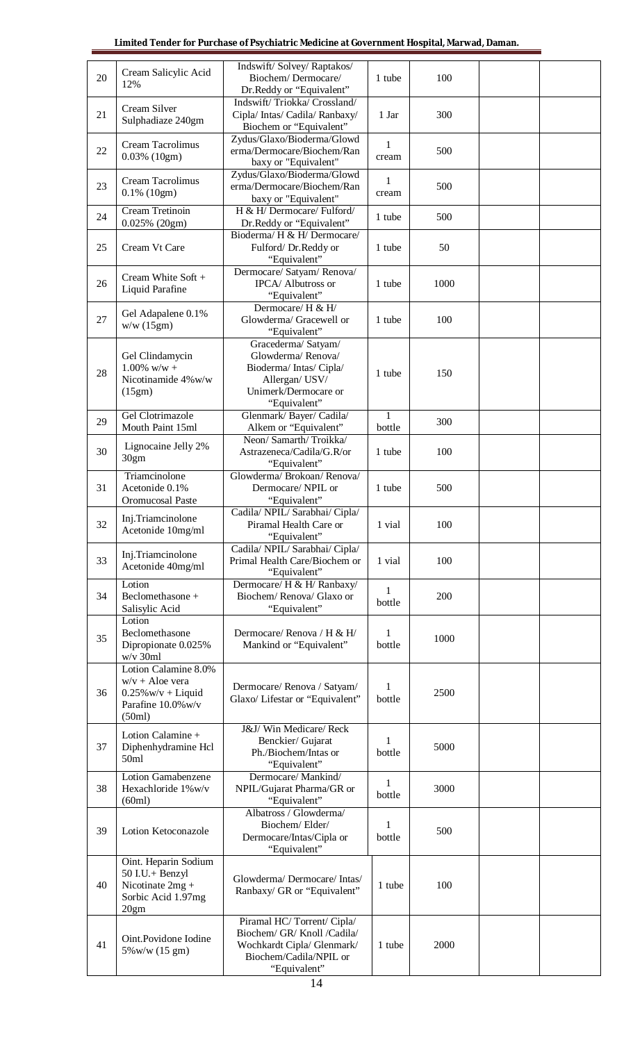| 20 | Cream Salicylic Acid<br>12%                                                               | Indswift/Solvey/Raptakos/<br>Biochem/Dermocare/                                                                                  | 1 tube                 | 100  |  |
|----|-------------------------------------------------------------------------------------------|----------------------------------------------------------------------------------------------------------------------------------|------------------------|------|--|
| 21 | Cream Silver<br>Sulphadiaze 240gm                                                         | Dr.Reddy or "Equivalent"<br>Indswift/Triokka/Crossland/<br>Cipla/ Intas/ Cadila/ Ranbaxy/                                        | 1 Jar                  | 300  |  |
| 22 | Cream Tacrolimus<br>$0.03\%$ (10gm)                                                       | Biochem or "Equivalent"<br>Zydus/Glaxo/Bioderma/Glowd<br>erma/Dermocare/Biochem/Ran                                              | 1<br>cream             | 500  |  |
| 23 | Cream Tacrolimus<br>$0.1\%$ (10gm)                                                        | baxy or "Equivalent"<br>Zydus/Glaxo/Bioderma/Glowd<br>erma/Dermocare/Biochem/Ran<br>baxy or "Equivalent"                         | 1<br>cream             | 500  |  |
| 24 | Cream Tretinoin<br>$0.025\%$ (20gm)                                                       | H & H/ Dermocare/ Fulford/<br>Dr.Reddy or "Equivalent"                                                                           | 1 tube                 | 500  |  |
| 25 | Cream Vt Care                                                                             | Bioderma/ H & H/ Dermocare/<br>Fulford/Dr.Reddy or<br>"Equivalent"                                                               | 1 tube                 | 50   |  |
| 26 | Cream White Soft +<br>Liquid Parafine                                                     | Dermocare/ Satyam/ Renova/<br>IPCA/ Albutross or<br>"Equivalent"                                                                 | 1 tube                 | 1000 |  |
| 27 | Gel Adapalene 0.1%<br>w/w(15gm)                                                           | Dermocare/ H & H/<br>Glowderma/ Gracewell or<br>"Equivalent"                                                                     | 1 tube                 | 100  |  |
| 28 | Gel Clindamycin<br>$1.00\%$ w/w +<br>Nicotinamide 4% w/w<br>(15gm)                        | Gracederma/Satyam/<br>Glowderma/Renova/<br>Bioderma/Intas/Cipla/<br>Allergan/ USV/<br>Unimerk/Dermocare or<br>"Equivalent"       | 1 tube                 | 150  |  |
| 29 | Gel Clotrimazole<br>Mouth Paint 15ml                                                      | Glenmark/Bayer/Cadila/<br>Alkem or "Equivalent"                                                                                  | 1<br>bottle            | 300  |  |
| 30 | Lignocaine Jelly 2%<br>30gm                                                               | Neon/ Samarth/Troikka/<br>Astrazeneca/Cadila/G.R/or<br>"Equivalent"                                                              | 1 tube                 | 100  |  |
| 31 | Triamcinolone<br>Acetonide 0.1%<br>Oromucosal Paste                                       | Glowderma/ Brokoan/ Renova/<br>Dermocare/NPIL or<br>"Equivalent"                                                                 | 1 tube                 | 500  |  |
| 32 | Inj.Triamcinolone<br>Acetonide 10mg/ml                                                    | Cadila/ NPIL/ Sarabhai/ Cipla/<br>Piramal Health Care or<br>"Equivalent"                                                         | 1 vial                 | 100  |  |
| 33 | Inj.Triamcinolone<br>Acetonide 40mg/ml                                                    | Cadila/ NPIL/ Sarabhai/ Cipla/<br>Primal Health Care/Biochem or<br>"Equivalent"                                                  | 1 vial                 | 100  |  |
| 34 | Lotion<br>Beclomethasone +<br>Salisylic Acid                                              | Dermocare/ H & H/ Ranbaxy/<br>Biochem/Renova/Glaxo or<br>"Equivalent"                                                            | 1<br>bottle            | 200  |  |
| 35 | Lotion<br>Beclomethasone<br>Dipropionate 0.025%<br>$w/v$ 30 $ml$<br>Lotion Calamine 8.0%  | Dermocare/Renova / H & H/<br>Mankind or "Equivalent"                                                                             | 1<br>bottle            | 1000 |  |
| 36 | $w/v +$ Aloe vera<br>$0.25\%$ w/v + Liquid<br>Parafine 10.0% w/v<br>(50ml)                | Dermocare/Renova / Satyam/<br>Glaxo/ Lifestar or "Equivalent"                                                                    | $\mathbf{1}$<br>bottle | 2500 |  |
| 37 | Lotion Calamine +<br>Diphenhydramine Hcl<br>50ml                                          | J&J/Win Medicare/Reck<br>Benckier/ Gujarat<br>Ph./Biochem/Intas or<br>"Equivalent"                                               | 1<br>bottle            | 5000 |  |
| 38 | <b>Lotion Gamabenzene</b><br>Hexachloride 1%w/v<br>(60ml)                                 | Dermocare/Mankind/<br>NPIL/Gujarat Pharma/GR or<br>"Equivalent"                                                                  | 1<br>bottle            | 3000 |  |
| 39 | Lotion Ketoconazole                                                                       | Albatross / Glowderma/<br>Biochem/Elder/<br>Dermocare/Intas/Cipla or<br>"Equivalent"                                             | 1<br>bottle            | 500  |  |
| 40 | Oint. Heparin Sodium<br>50 I.U.+ Benzyl<br>Nicotinate 2mg +<br>Sorbic Acid 1.97mg<br>20gm | Glowderma/Dermocare/Intas/<br>Ranbaxy/ GR or "Equivalent"                                                                        | 1 tube                 | 100  |  |
| 41 | Oint.Povidone Iodine<br>5% w/w (15 gm)                                                    | Piramal HC/Torrent/Cipla/<br>Biochem/ GR/ Knoll /Cadila/<br>Wochkardt Cipla/ Glenmark/<br>Biochem/Cadila/NPIL or<br>"Equivalent" | 1 tube                 | 2000 |  |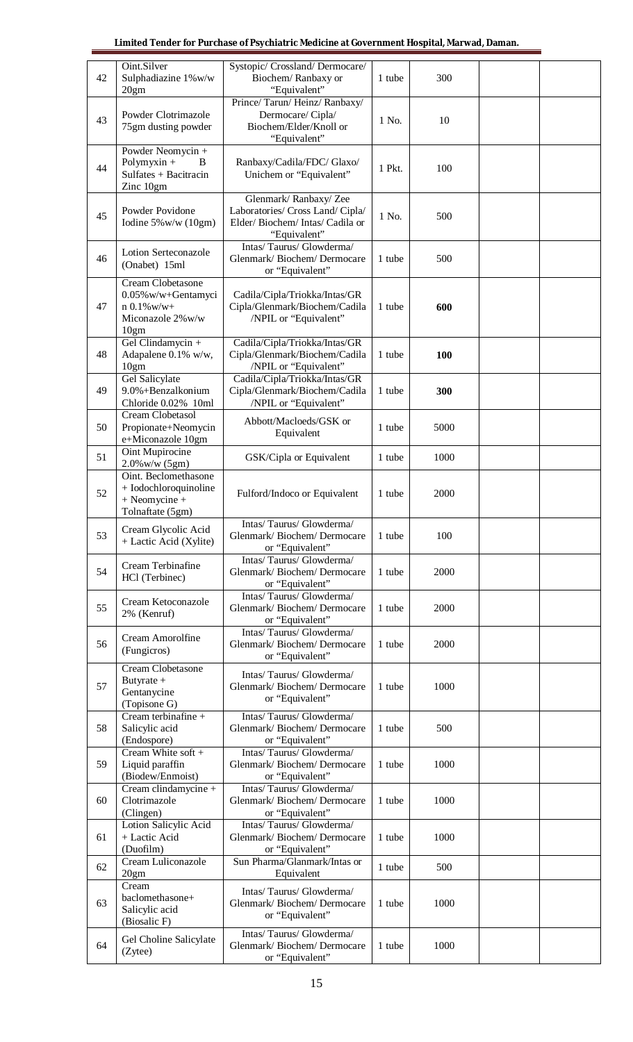| 42 | Oint.Silver<br>Sulphadiazine 1%w/w<br>20gm                                              | Systopic/ Crossland/ Dermocare/<br>Biochem/Ranbaxy or<br>"Equivalent"                                     | 1 tube | 300  |  |
|----|-----------------------------------------------------------------------------------------|-----------------------------------------------------------------------------------------------------------|--------|------|--|
| 43 | Powder Clotrimazole<br>75gm dusting powder                                              | Prince/Tarun/Heinz/Ranbaxy/<br>Dermocare/Cipla/<br>Biochem/Elder/Knoll or<br>"Equivalent"                 | 1 No.  | 10   |  |
| 44 | Powder Neomycin +<br>Polymyxin $+$<br>B<br>Sulfates + Bacitracin<br>Zinc 10gm           | Ranbaxy/Cadila/FDC/ Glaxo/<br>Unichem or "Equivalent"                                                     | 1 Pkt. | 100  |  |
| 45 | Powder Povidone<br>Iodine $5\%$ w/w (10gm)                                              | Glenmark/Ranbaxy/Zee<br>Laboratories/ Cross Land/ Cipla/<br>Elder/Biochem/Intas/Cadila or<br>"Equivalent" | 1 No.  | 500  |  |
| 46 | Lotion Serteconazole<br>(Onabet) 15ml                                                   | Intas/Taurus/Glowderma/<br>Glenmark/Biochem/Dermocare<br>or "Equivalent"                                  | 1 tube | 500  |  |
| 47 | Cream Clobetasone<br>0.05% w/w+Gentamyci<br>$n 0.1\%$ w/w+<br>Miconazole 2% w/w<br>10gm | Cadila/Cipla/Triokka/Intas/GR<br>Cipla/Glenmark/Biochem/Cadila<br>/NPIL or "Equivalent"                   | 1 tube | 600  |  |
| 48 | Gel Clindamycin +<br>Adapalene 0.1% w/w,<br>10gm                                        | Cadila/Cipla/Triokka/Intas/GR<br>Cipla/Glenmark/Biochem/Cadila<br>/NPIL or "Equivalent"                   | 1 tube | 100  |  |
| 49 | <b>Gel Salicylate</b><br>9.0%+Benzalkonium<br>Chloride 0.02% 10ml                       | Cadila/Cipla/Triokka/Intas/GR<br>Cipla/Glenmark/Biochem/Cadila<br>/NPIL or "Equivalent"                   | 1 tube | 300  |  |
| 50 | Cream Clobetasol<br>Propionate+Neomycin<br>e+Miconazole 10gm                            | Abbott/Macloeds/GSK or<br>Equivalent                                                                      | 1 tube | 5000 |  |
| 51 | Oint Mupirocine<br>$2.0\%$ w/w $(5gm)$                                                  | GSK/Cipla or Equivalent                                                                                   | 1 tube | 1000 |  |
| 52 | Oint. Beclomethasone<br>+ Iodochloroquinoline<br>$+$ Neomycine $+$<br>Tolnaftate (5gm)  | Fulford/Indoco or Equivalent                                                                              | 1 tube | 2000 |  |
| 53 | Cream Glycolic Acid<br>+ Lactic Acid (Xylite)                                           | Intas/Taurus/Glowderma/<br>Glenmark/Biochem/Dermocare<br>or "Equivalent"                                  | 1 tube | 100  |  |
| 54 | Cream Terbinafine<br>HCl (Terbinec)                                                     | Intas/Taurus/Glowderma/<br>Glenmark/Biochem/Dermocare<br>or "Equivalent"                                  | 1 tube | 2000 |  |
| 55 | Cream Ketoconazole<br>2% (Kenruf)                                                       | Intas/Taurus/Glowderma/<br>Glenmark/Biochem/Dermocare<br>or "Equivalent"                                  | 1 tube | 2000 |  |
| 56 | Cream Amorolfine<br>(Fungicros)                                                         | Intas/Taurus/Glowderma/<br>Glenmark/Biochem/Dermocare<br>or "Equivalent"                                  | 1 tube | 2000 |  |
| 57 | Cream Clobetasone<br>Butyrate $+$<br>Gentanycine<br>(Topisone G)                        | Intas/Taurus/Glowderma/<br>Glenmark/Biochem/Dermocare<br>or "Equivalent"                                  | 1 tube | 1000 |  |
| 58 | Cream terbinafine +<br>Salicylic acid<br>(Endospore)                                    | Intas/Taurus/Glowderma/<br>Glenmark/Biochem/Dermocare<br>or "Equivalent"                                  | 1 tube | 500  |  |
| 59 | Cream White soft +<br>Liquid paraffin<br>(Biodew/Enmoist)                               | Intas/Taurus/Glowderma/<br>Glenmark/Biochem/Dermocare<br>or "Equivalent"                                  | 1 tube | 1000 |  |
| 60 | Cream clindamycine +<br>Clotrimazole<br>(Clingen)                                       | Intas/Taurus/Glowderma/<br>Glenmark/Biochem/Dermocare<br>or "Equivalent"                                  | 1 tube | 1000 |  |
| 61 | Lotion Salicylic Acid<br>+ Lactic Acid<br>(Duofilm)                                     | Intas/Taurus/Glowderma/<br>Glenmark/Biochem/Dermocare<br>or "Equivalent"                                  | 1 tube | 1000 |  |
| 62 | Cream Luliconazole<br>20gm                                                              | Sun Pharma/Glanmark/Intas or<br>Equivalent                                                                | 1 tube | 500  |  |
| 63 | Cream<br>baclomethasone+<br>Salicylic acid<br>(Biosalic F)                              | Intas/Taurus/Glowderma/<br>Glenmark/Biochem/Dermocare<br>or "Equivalent"                                  | 1 tube | 1000 |  |
| 64 | Gel Choline Salicylate<br>(Zytee)                                                       | Intas/Taurus/Glowderma/<br>Glenmark/Biochem/Dermocare<br>or "Equivalent"                                  | 1 tube | 1000 |  |